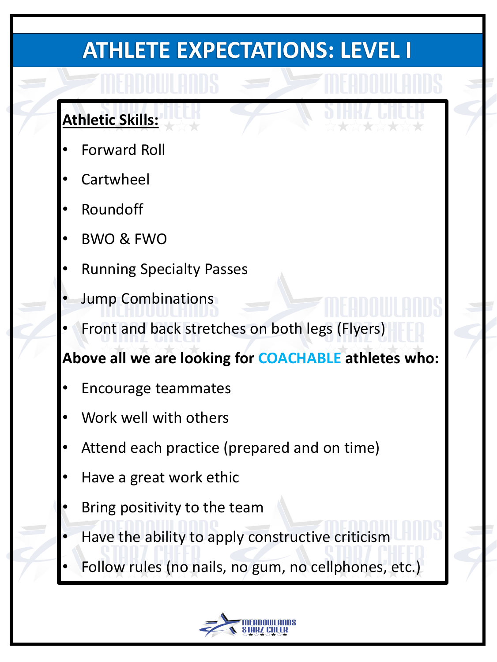### **Athletic Skills:**

- Forward Roll
- **Cartwheel**
- **Roundoff**
- BWO & FWO
- Running Specialty Passes
- Jump Combinations
- Front and back stretches on both legs (Flyers)

- Encourage teammates
- Work well with others
- Attend each practice (prepared and on time)
- Have a great work ethic
- Bring positivity to the team
- Have the ability to apply constructive criticism
- Follow rules (no nails, no gum, no cellphones, etc.)

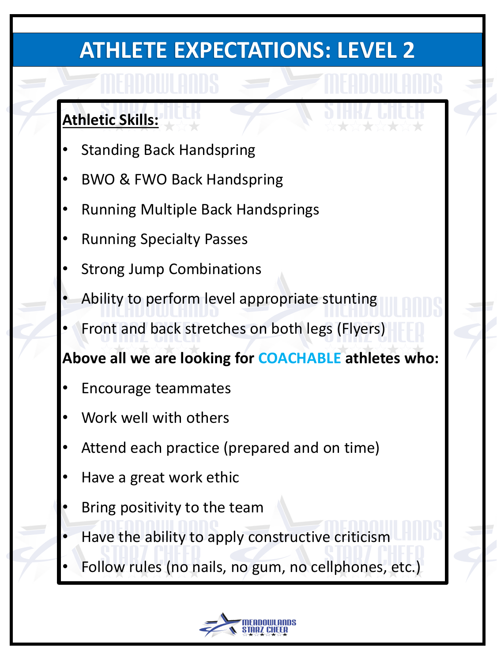### **Athletic Skills:**

- **Standing Back Handspring**
- BWO & FWO Back Handspring
- Running Multiple Back Handsprings
- Running Specialty Passes
- **Strong Jump Combinations**
- Ability to perform level appropriate stunting
- Front and back stretches on both legs (Flyers)

- Encourage teammates
- Work well with others
- Attend each practice (prepared and on time)
- Have a great work ethic
- Bring positivity to the team
- Have the ability to apply constructive criticism
- Follow rules (no nails, no gum, no cellphones, etc.)

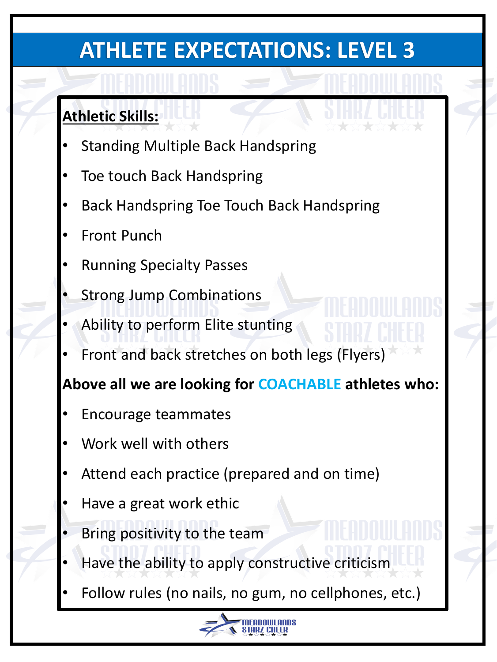### **Athletic Skills:**

- **Standing Multiple Back Handspring**
- Toe touch Back Handspring
- Back Handspring Toe Touch Back Handspring
- **Front Punch**
- Running Specialty Passes
- **Strong Jump Combinations**
- Ability to perform Elite stunting
- Front and back stretches on both legs (Flyers)

- Encourage teammates
- Work well with others
- Attend each practice (prepared and on time)
- Have a great work ethic
- Bring positivity to the team
- Have the ability to apply constructive criticism
- Follow rules (no nails, no gum, no cellphones, etc.)

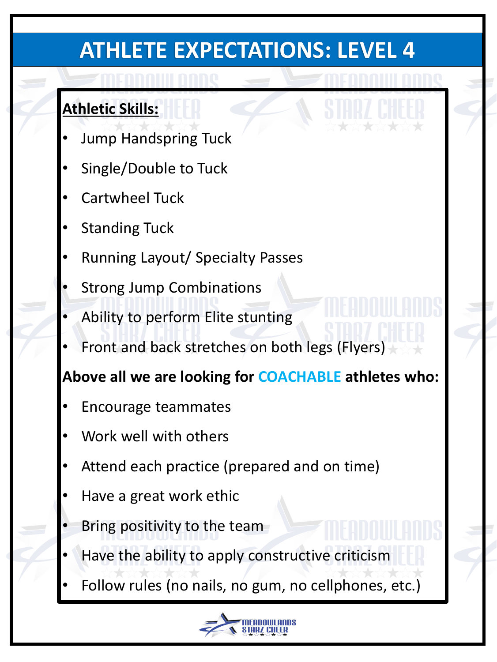- Jump Handspring Tuck
- Single/Double to Tuck
- Cartwheel Tuck
- **Standing Tuck**
- Running Layout/ Specialty Passes
- **Strong Jump Combinations**
- Ability to perform Elite stunting
- Front and back stretches on both legs (Flyers)

#### **Athletic Skills:**

- Encourage teammates
- Work well with others
- Attend each practice (prepared and on time)
- Have a great work ethic
- Bring positivity to the team
- Have the ability to apply constructive criticism
- Follow rules (no nails, no gum, no cellphones, etc.)